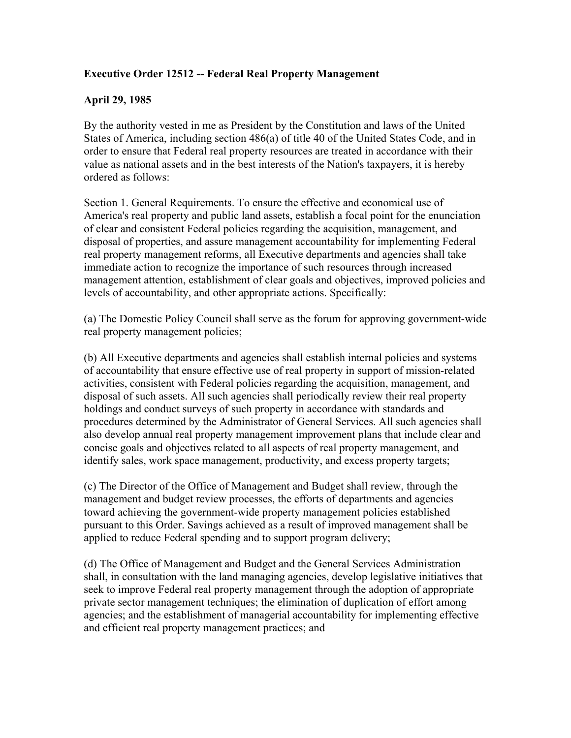## **Executive Order 12512 -- Federal Real Property Management**

## **April 29, 1985**

By the authority vested in me as President by the Constitution and laws of the United States of America, including section 486(a) of title 40 of the United States Code, and in order to ensure that Federal real property resources are treated in accordance with their value as national assets and in the best interests of the Nation's taxpayers, it is hereby ordered as follows:

Section 1. General Requirements. To ensure the effective and economical use of America's real property and public land assets, establish a focal point for the enunciation of clear and consistent Federal policies regarding the acquisition, management, and disposal of properties, and assure management accountability for implementing Federal real property management reforms, all Executive departments and agencies shall take immediate action to recognize the importance of such resources through increased management attention, establishment of clear goals and objectives, improved policies and levels of accountability, and other appropriate actions. Specifically:

(a) The Domestic Policy Council shall serve as the forum for approving government-wide real property management policies;

(b) All Executive departments and agencies shall establish internal policies and systems of accountability that ensure effective use of real property in support of mission-related activities, consistent with Federal policies regarding the acquisition, management, and disposal of such assets. All such agencies shall periodically review their real property holdings and conduct surveys of such property in accordance with standards and procedures determined by the Administrator of General Services. All such agencies shall also develop annual real property management improvement plans that include clear and concise goals and objectives related to all aspects of real property management, and identify sales, work space management, productivity, and excess property targets;

(c) The Director of the Office of Management and Budget shall review, through the management and budget review processes, the efforts of departments and agencies toward achieving the government-wide property management policies established pursuant to this Order. Savings achieved as a result of improved management shall be applied to reduce Federal spending and to support program delivery;

(d) The Office of Management and Budget and the General Services Administration shall, in consultation with the land managing agencies, develop legislative initiatives that seek to improve Federal real property management through the adoption of appropriate private sector management techniques; the elimination of duplication of effort among agencies; and the establishment of managerial accountability for implementing effective and efficient real property management practices; and